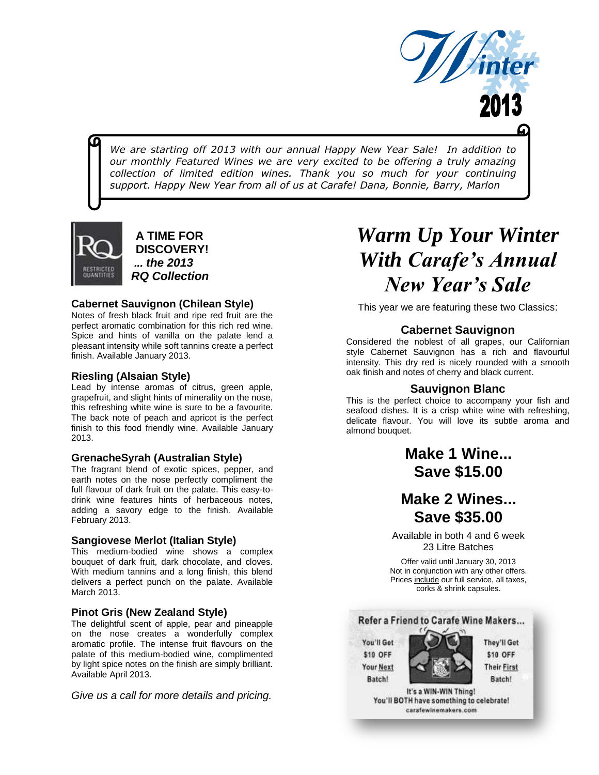

*We are starting off 2013 with our annual Happy New Year Sale! In addition to our monthly Featured Wines we are very excited to be offering a truly amazing collection of limited edition wines. Thank you so much for your continuing support. Happy New Year from all of us at Carafe! Dana, Bonnie, Barry, Marlon*



**A TIME FOR DISCOVERY!** *... the 2013 RQ Collection*

#### **Cabernet Sauvignon (Chilean Style)**

Notes of fresh black fruit and ripe red fruit are the perfect aromatic combination for this rich red wine. Spice and hints of vanilla on the palate lend a pleasant intensity while soft tannins create a perfect finish. Available January 2013.

#### **Riesling (Alsaian Style)**

Lead by intense aromas of citrus, green apple, grapefruit, and slight hints of minerality on the nose, this refreshing white wine is sure to be a favourite. The back note of peach and apricot is the perfect finish to this food friendly wine. Available January 2013.

#### **GrenacheSyrah (Australian Style)**

The fragrant blend of exotic spices, pepper, and earth notes on the nose perfectly compliment the full flavour of dark fruit on the palate. This easy-todrink wine features hints of herbaceous notes, adding a savory edge to the finish. Available February 2013.

#### **Sangiovese Merlot (Italian Style)**

This medium-bodied wine shows a complex bouquet of dark fruit, dark chocolate, and cloves. With medium tannins and a long finish, this blend delivers a perfect punch on the palate. Available March 2013.

#### **Pinot Gris (New Zealand Style)**

The delightful scent of apple, pear and pineapple on the nose creates a wonderfully complex aromatic profile. The intense fruit flavours on the palate of this medium-bodied wine, complimented by light spice notes on the finish are simply brilliant. Available April 2013.

*Give us a call for more details and pricing.*

# *Warm Up Your Winter With Carafe's Annual New Year's Sale*

This year we are featuring these two Classics:

#### **Cabernet Sauvignon**

Considered the noblest of all grapes, our Californian style Cabernet Sauvignon has a rich and flavourful intensity. This dry red is nicely rounded with a smooth oak finish and notes of cherry and black current.

#### **Sauvignon Blanc**

This is the perfect choice to accompany your fish and seafood dishes. It is a crisp white wine with refreshing, delicate flavour. You will love its subtle aroma and almond bouquet.

> **Make 1 Wine... Save \$15.00**

### **Make 2 Wines... Save \$35.00**

Available in both 4 and 6 week 23 Litre Batches

Offer valid until January 30, 2013 Not in conjunction with any other offers. Prices include our full service, all taxes, corks & shrink capsules.